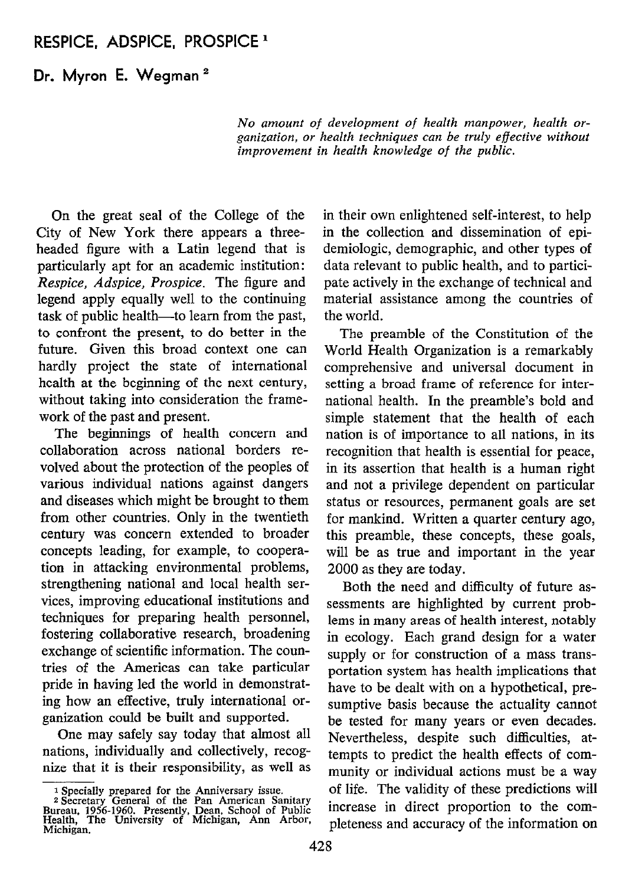# RESPICE, ADSPICE, PROSPICE '

Dr. Myron E. Wegman<sup>2</sup>

No amount of development of health manpower, health organization, or health techniques can be truly effective without improvement in health knowledge of the public.

On the great seal of the College of the City of New York there appears a threeheaded figure with a Latin legend that is particularly apt for an academic institution: Respice, Adspice, Prospice. The figure and legend apply equally well to the continuing task of public health—to learn from the past, to confront the present, to do better in the future. Given this broad context one can hardly project the state of intemational health at the beginning of the next century, without taking into consideration the framework of the past and present.

The beginnings of health concern and collaboration across national borders revolved about the protection of the peoples of various individual nations against dangers and diseases which might be brought to them from other countries. Only in the twentieth century was concern extended to broader concepts leading, for example, to cooperation in attacking environmental problems, strengthening national and local health services, improving educational institutions and techniques for preparing health personnel, fostering collaborative research, broadening exchange of scientific information. The countries of the Americas can take particular pride in having led the world in demonstrating how an effective, truly international organization could be built and supported.

One may safely say today that almost al1 nations, individually and collectively, recognize that it is their responsibility, as well as in their own enlightened self-interest, to help in the collection and dissemination of epidemiologic, demographic, and other types of data relevant to public health, and to participate actively in the exchange of technical and material assistance among the countries of the world.

The preamble of the Constitution of the World Health Organization is a remarkably comprehensive and universal document in setting a broad frame of reference for international health. In the preamble's bold and simple statement that the health of each nation is of importance to all nations, in its recognition that health is essential for peace, in its assertion that health is a human right and not a privilege dependent on particular status or resources, permanent goals are set for mankind. Written a quarter century ago, this preamble, these concepts, these goals, will be as true and important in the year 2000 as they are today.

Both the need and difficulty of future assessments are highlighted by current problems in many areas of health interest, notably in ecology. Each grand design for a water supply or for construction of a mass transportation system has health implications that have to be dealt with on a hypothetical, presumptive basis because the actuality cannot be tested for many years or even decades. Nevertheless, despite such difficulties, attempts to predict the health effects of community or individual actions must be a way of life. The validity of these predictions will increase in direct proportion to the completeness and accuracy of the information on

<sup>&</sup>lt;sup>1</sup> Specially prepared for the Anniversary issue.<br>
<sup>2</sup> Secretary General of the Pan American Sanitary<br>Bureau, 1956-1960. Presently, Dean, School of Public<br>Health, The University of Michigan, Ann Arbor, Michigan.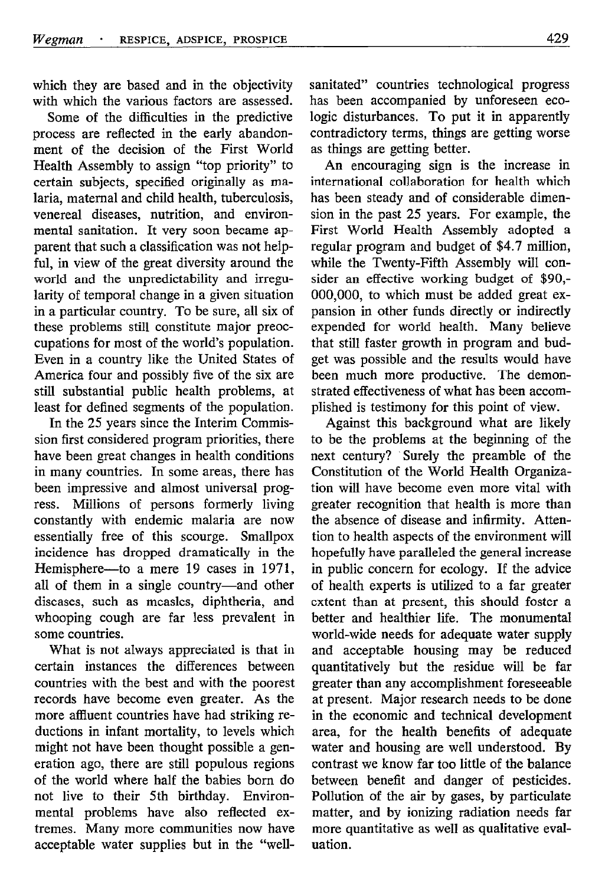which they are based and in the objectivity with which the various factors are assessed.

Some of the difficulties in the predictive process are reflected in the early abandonment of the decision of the First World Health Assembly to assign "top priority" to certain subjects, specified originally as malaria, maternal and Child health, tuberculosis, venereal diseases, nutrition, and environmental sanitation. It very soon became apparent that such a classification was not helpful, in view of the great diversity around the world and the unpredictability and irregularity of temporal change in a given situation in a particular country. To be sure, al1 six of these problems still constitute major preoccupations for most of the world's population. Even in a country like the United States of America four and possibly five of the six are still substantial public health problems, at least for defined segments of the population.

In the 25 years since the Interim Commission first considered program priorities, there have been great changes in health conditions in many countries. In some areas, there has been impressive and almost universal progress. Millions of persons formerly living constantly with endemic malaria are now essentially free of this scourge. Smallpox incidence has dropped dramatically in the Hemisphere-to a mere 19 cases in 1971, all of them in a single country-and other diseases, such as measles, diphtheria, and whooping cough are far less prevalent in some countries.

What is not always appreciated is that in certain instances the differences between countries with the best and with the poorest records have become even greater. As the more affluent countries have had striking reductions in infant mortality, to levels which might not have been thought possible a generation ago, there are still populous regions of the world where half the babies bom do not live to their 5th birthday. Environmental problems have also reflected extremes. Many more communities now have acceptable water supplies but in the "wellsanitated" countries technological progress has been accompanied by unforeseen ecologic disturbances. To put it in apparently contradictory terms, things are getting worse as things are getting better.

An encouraging sign is the increase in intemational collaboration for health which has been steady and of considerable dimension in the past 25 years. For example, the First World Health Assembly adopted a regular program and budget of \$4.7 million, while the Twenty-Fifth Assembly will consider an effective working budget of \$90,- 000,000, to which must be added great expansion in other funds directly or indirectly expended for world health. Many believe that still faster growth in program and budget was possible and the results would have been much more productive. The demonstrated effectiveness of what has been accomplished is testimony for this point of view.

Against this background what are likely to be the problems at the beginning of the next century? Surely the preamble of the Constitution of the World Health Organization will have become even more vital with greater recognition that health is more than the absence of disease and infirmity. Attention to health aspects of the environment will hopefully have paralleled the general increase in public concern for ecology. If the advice of health experts is utilized to a far greater extent than at present, this should foster a better and healthier life. The monumenta1 world-wide needs for adequate water supply and acceptable housing may be reduced quantitatively but the residue will be far greater than any accomplishment foreseeable at present. Major research needs to be done in the economic and technical development area, for the health benefits of adequate water and housing are well understood. By contrast we know far too little of the balance between benefit and danger of pesticides. Pollution of the air by gases, by particulate matter, and by ionizing radiation needs far more quantitative as well as qualitative evaluation.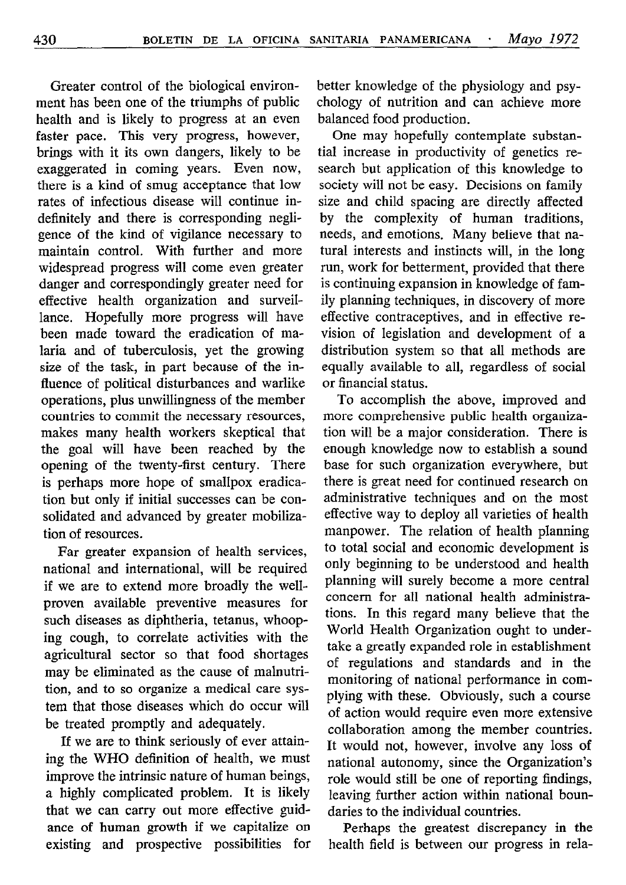Greater control of the biological environment has been one of the triumphs of public health and is likely to progress at an even faster pace. This very progress, however, brings with it its own dangers, likely to be exaggerated in coming years. Even now, there is a kind of smug acceptance that low rates of infectious disease will continue indefinitely and there is corresponding negligence of the kind of vigilance necessary to maintain control. With further and more widespread progress will come even greater danger and correspondingly greater need for effective health organization and surveillance. Hopefully more progress will have been made toward the eradication of malaria and of tuberculosis, yet the growing size of the task, in part because of the influence of political disturbances and warlike operations, plus unwillingness of the member countries to commit the necessary resources, makes many health workers skeptical that the goal will have been reached by the opening of the twenty-first century. There is perhaps more hope of smallpox eradication but only if initial successes can be consolidated and advanced by greater mobilization of resources.

Far greater expansion of health services, national and international, will be required if we are to extend more broadly the wellproven available preventive measures for such diseases as diphtheria, tetanus, whooping cough, to correlate activities with the agricultura1 sector so that food shortages may be eliminated as the cause of malnutrition, and to so organize a medical care system that those diseases which do occur will be treated promptly and adequately.

If we are to think seriously of ever attaining the WHO definition of health, we must improve the intrinsic nature of human beings, a highly complicated problem. It is likely that we can carry out more effective guidance of human growth if we capitalize on existing and prospective possibilities for

better knowledge of the physiology and psychology of nutrition and can achieve more balanced food production.

One may hopefully contemplate substantial increase in productivity of genetics research but application of this knowledge to society will not be easy. Decisions on family size and Child spacing are directly affected by the complexity of human traditions, needs, and emotions. Many believe that natural interests and instincts will, ín the long run, work for betterment, provided that there is continuing expansion in knowledge of family planning techniques, in discovery of more effective contraceptives, and in effective revision of legislation and development of a distribution system so that all methods are equally available to all, regardless of social or financia1 status.

To accomplish the above, improved and more comprehensive public health organization will be a major consideration. There is enough knowledge now to establish a sound base for such organization everywhere, but there is great need for continued research on administrative techniques and on the most effective way to deploy all varieties of health manpower. The relation of health planning to total social and economic development is only beginning to be understood and health planning will surely become a more central concem for all national health administrations. In this regard many believe that the World Health Organization ought to undertake a greatly expanded role in establishment of regulations and standards and in the monitoring of national performance in complying with these. Obviously, such a course of action would require even more extensive collaboration among the member countries. It would not, however, involve any loss of national autonomy, since the Organization's role would still be one of reporting findings, leaving further action within national boundaries to the individual countries.

Perhaps the greatest discrepancy in the health field is between our progress in rela-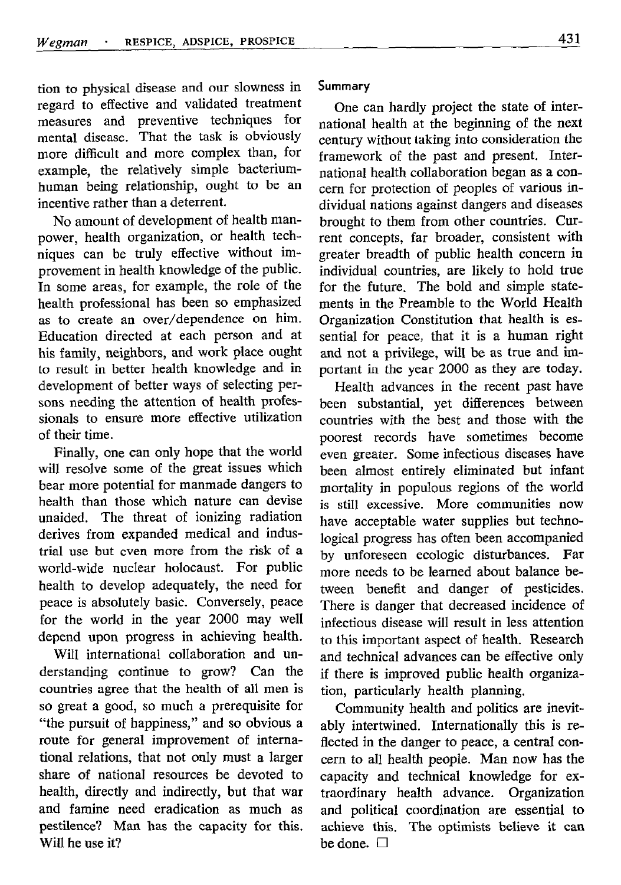tion to physical disease and our slowness in regard to effective and validated treatment measures and preventive techniques for mental disease. That the task is obviously more difficult and more complex than, for example, the relatively simple bacteriumhuman being relationship, ought to be an incentive rather than a deterrent.

No amount of development of health manpower, health organization, or health techniques can be truly effective without improvement in health knowledge of the public. In some areas, for example, the role of the health professional has been so emphasized as to create an over/dependence on him. Education directed at each person and at his family, neighbors, and work place ought to result in better health knowledge and in development of better ways of selecting persons needing the attention of health professionals to ensure more effective utilization of their time.

Finally, one can only hope that the world will resolve some of the great issues which bear more potential for manmade dangers to health than those which nature can devise unaided. The threat of ionizing radiation derives from expanded medical and industrial use but even more from the risk of a world-wide nuclear holocaust. For public health to develop adequately, the need for peace is absolutely basic. Conversely, peace for the world in the year 2000 may well depend upon progress in achieving health.

Will international collaboration and understanding continue to grow? Can the countries agree that the health of all men is SO great a good, so much a prerequisite for "the pursuit of happiness," and so obvious a route for general improvement of international relations, that not only must a larger share of national resources be devoted to health, directly and indirectly, but that war and famine need eradication as much as pestilence? Man has the capacity for this. Will he use it?

## Summary

One can hardly project the state of international health at the beginning of the next century without taking into consideration the framework of the past and present. International health collaboration began as a concern for protection of peoples of various individual nations against dangers and diseases brought to them from other countries. Current concepts, far broader, consistent with greater breadth of public health concern in individual countries, are likely to hold true for the future. The bold and simple statements in the Preamble to the World Health Organization Constitution that health is essential for peace, that it is a human right and not a privilege, will be as true and important in the year 2000 as they are today.

Health advances in the recent past have been substantial, yet differences between countries with the best and those with the poorest records have sometimes become even greater. Some infectious diseases have been almost entirely eliminated but infant mortality in populous regions of the world is still excessive. More communities now have acceptable water supplies but technological progress has often been accompanied by unforeseen ecologic disturbances. Far more needs to be leamed about balance between benefit and danger of pesticides. There is danger that decreased incidence of infectious disease will result in less attention to this important aspect of health. Research and technical advances can be effective only if there is improved public health organization, particularly health planning.

Community health and politics are inevitably intertwined. Intemationally this is reflected in the danger to peace, a central concern to all health people. Man now has the capacity and technical knowledge for extraordinary health advance. Organization and political coordination are essential to achieve this. The optimists believe it can be done.  $\square$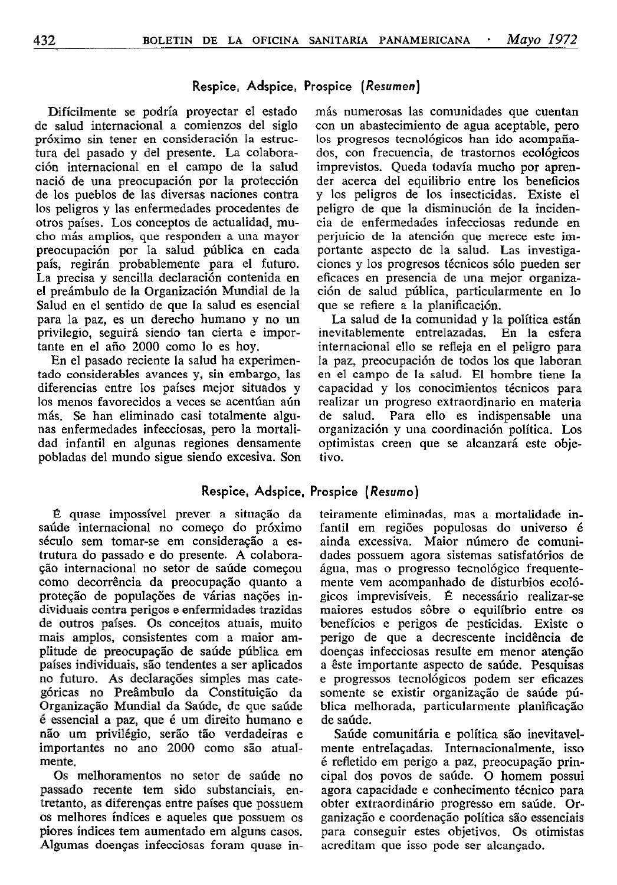### Respice, Adspice, Prospice (Resumen)

Difícilmente se podría proyectar el estado de salud internacional a comienzos del siglo próximo sin tener en consideración la estructura del pasado y del presente. La colaboración internacional en el campo de la salud nació de una preocupación por la protección de los pueblos de las diversas naciones contra los peligros y las enfermedades procedentes de otros países. Los conceptos de actualidad, mucho más amplios, que responden a una mayor preocupación por la salud pública en cada país, regirán probablemente para el futuro. La precisa y sencilla declaración contenida en el preámbulo de la Organización Mundial de la Salud en el sentido de que la salud es esencial para la paz, es un derecho humano y no un privilegio, seguirá siendo tan cierta e importante en el año 2000 como lo es hoy.

En el pasado reciente la salud ha experimentado considerables avances y, sin embargo, las diferencias entre los países mejor situados y los menos favorecidos a veces se acentúan aún más. Se han eliminado casi totalmente algunas enfermedades infecciosas, pero la mortalidad infantil en algunas regiones densamente pobladas del mundo sigue siendo excesiva. Son

Respice, Adspice, Prospice (Resumo)

E quase impossível prever a situacão da saúde internacional no comeco do próximo século sem tomar-se em consideracáo a estrutura do passado e do presente. A colaboracáo internacional no setor de saúde comecou como decorrência da preocupacáo quanto a protecáo de populacóes de várias nacóes individuais contra perigos e enfermidades trazidas de outros países. Os conceitos atuais, muito mais amplos, consistentes com a maior amplitude de preocupacáo de saúde pública em países individuais, sáo tendentes a ser aplicados no futuro. As declarações simples mas categóricas no Preâmbulo da Constituicáo da Organização Mundial da Saúde, de que saúde é essencial a paz, que é um direito humano e náo um privilégio, seráo táo verdadeiras e importantes no ano 2000 como sáo atualmente.

Os melhoramentos no setor de saúde no passado recente tem sido substanciais, entretanto, as diferenças entre países que possuem os melhores índices e aqueles que possuem os piores índices tem aumentado em alguns casos. Algumas doencas infecciosas foram quase in-

más numerosas las comunidades que cuentan con un abastecimiento de agua aceptable, pero los progresos tecnológicos han ido acompañados, con frecuencia, de trastornos ecológicos imprevistos. Queda todavía mucho por aprender acerca del equilibrio entre los beneficios y los peligros de los insecticidas. Existe el peligro de que la disminución de la incidencia de enfermedades infecciosas redunde en perjuicio de la atención que merece este importante aspecto de la salud. Las investigaciones y los progresos técnicos sólo pueden ser eficaces en presencia de una mejor organización de salud pública, particularmente en lo que se refiere a la planificación.

La salud de la comunidad y la política están inevitablemente entrelazadas. En la esfera internacional ello se refleja en el peligro para la paz, preocupación de todos los que laboran en el campo de la salud. El hombre tiene la capacidad y los conocimientos técnicos para realizar un progreso extraordinario en materia de salud. Para ello es indispensable una organización y una coordinación política. Los optimistas creen que se alcanzará este objetivo.

teiramente eliminadas, mas a mortalidade infantil em regióes populosas do universo é ainda excessiva. Maior número de comunidades possuem agora sistemas satisfatórios de água, mas 0 progresso tecnológico frequentemente vem acompanhado de disturbios ecológicos imprevisíveis. É necessário realizar-se maiores estudos sôbre o equilíbrio entre os benefícios e perigos de pesticidas. Existe o perigo de que a decrescente incidencia de doencas infecciosas resulte em menor atencáo a êste importante aspecto de saúde. Pesquisas e progressos tecnológicos podem ser eficazes somente se existir organizacáo de saúde pública melhorada, particularmente planificacáo de saúde.

Saúde comunitária e política sáo inevitavelmente entrelacadas. Internacionalmente, isso é refletido em perigo a paz, preocupacáo principal dos povos de saúde. 0 homem possui agora capacidade e conhecimento técnico para obter extraordinário progresso em saúde. Organizacáo e coordenacáo política sáo essenciais para conseguir estes objetivos. Os otimistas acreditam que isso pode ser alcançado.